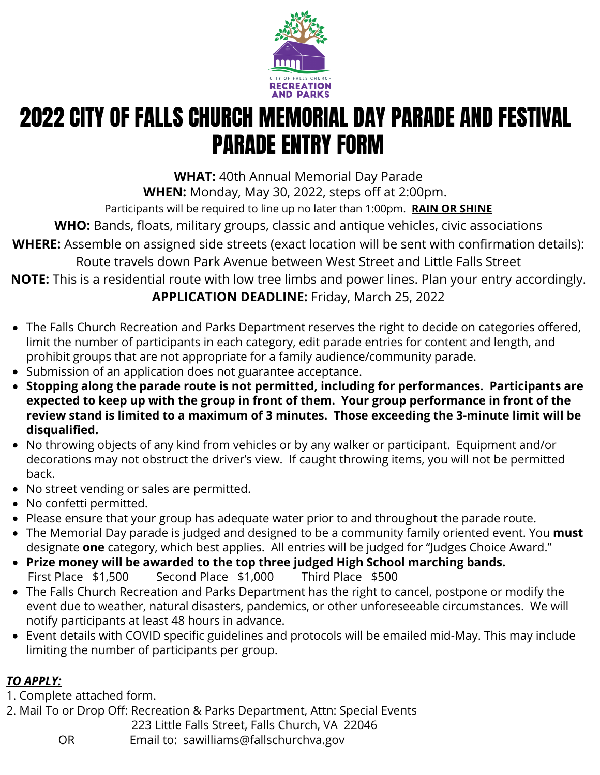

## 2022 CITY OF FALLS CHURCH MEMORIAL DAY PARADE AND FESTIVAL PARADE ENTRY FORM

**WHAT:** 40th Annual Memorial Day Parade

**WHEN:** Monday, May 30, 2022, steps off at 2:00pm.

Participants will be required to line up no later than 1:00pm. **RAIN OR SHINE**

**WHO:** Bands, floats, military groups, classic and antique vehicles, civic associations

**WHERE:** Assemble on assigned side streets (exact location will be sent with confirmation details):

Route travels down Park Avenue between West Street and Little Falls Street

**NOTE:** This is a residential route with low tree limbs and power lines. Plan your entry accordingly. **APPLICATION DEADLINE:** Friday, March 25, 2022

- The Falls Church Recreation and Parks Department reserves the right to decide on categories offered, limit the number of participants in each category, edit parade entries for content and length, and prohibit groups that are not appropriate for a family audience/community parade.
- Submission of an application does not guarantee acceptance.
- **Stopping along the parade route is not permitted, including for performances. Participants are expected to keep up with the group in front of them. Your group performance in front of the review stand is limited to a maximum of 3 minutes. Those exceeding the 3-minute limit will be disqualified.**
- No throwing objects of any kind from vehicles or by any walker or participant. Equipment and/or decorations may not obstruct the driver's view. If caught throwing items, you will not be permitted back.
- No street vending or sales are permitted.
- No confetti permitted.
- Please ensure that your group has adequate water prior to and throughout the parade route.
- The Memorial Day parade is judged and designed to be a community family oriented event. You **must** designate **one** category, which best applies. All entries will be judged for "Judges Choice Award."
- **Prize money will be awarded to the top three judged High School marching bands.**  First Place \$1,500 Second Place \$1,000 Third Place \$500
- The Falls Church Recreation and Parks Department has the right to cancel, postpone or modify the event due to weather, natural disasters, pandemics, or other unforeseeable circumstances. We will notify participants at least 48 hours in advance.
- Event details with COVID specific guidelines and protocols will be emailed mid-May. This may include limiting the number of participants per group.

## *TO APPLY:*

1. Complete attached form.

2. Mail To or Drop Off: Recreation & Parks Department, Attn: Special Events

223 Little Falls Street, Falls Church, VA 22046

OR Email to: sawilliams@fallschurchva.gov